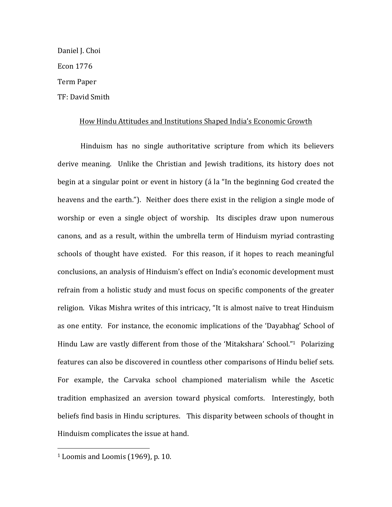Daniel J. Choi Econ 1776 Term Paper TF: David Smith

#### How Hindu Attitudes and Institutions Shaped India's Economic Growth

Hinduism has no single authoritative scripture from which its believers derive meaning. Unlike the Christian and Jewish traditions, its history does not begin at a singular point or event in history (á la "In the beginning God created the heavens and the earth."). Neither does there exist in the religion a single mode of worship or even a single object of worship. Its disciples draw upon numerous canons, and as a result, within the umbrella term of Hinduism myriad contrasting schools of thought have existed. For this reason, if it hopes to reach meaningful conclusions, an analysis of Hinduism's effect on India's economic development must refrain from a holistic study and must focus on specific components of the greater religion. Vikas Mishra writes of this intricacy, "It is almost naïve to treat Hinduism as one entity. For instance, the economic implications of the 'Dayabhag' School of Hindu Law are vastly different from those of the 'Mitakshara' School."<sup>1</sup> Polarizing features can also be discovered in countless other comparisons of Hindu belief sets. For example, the Carvaka school championed materialism while the Ascetic tradition emphasized an aversion toward physical comforts. Interestingly, both beliefs find basis in Hindu scriptures. This disparity between schools of thought in Hinduism complicates the issue at hand.

 $1$  Loomis and Loomis (1969), p. 10.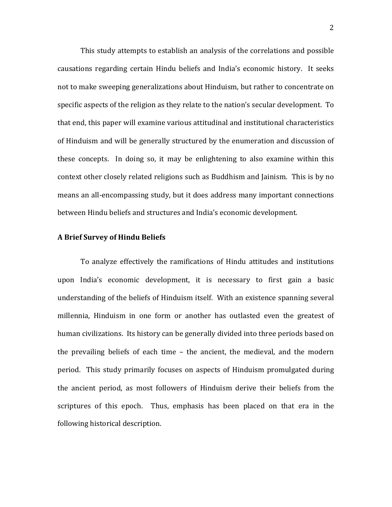This study attempts to establish an analysis of the correlations and possible causations regarding certain Hindu beliefs and India's economic history. It seeks not to make sweeping generalizations about Hinduism, but rather to concentrate on specific aspects of the religion as they relate to the nation's secular development. To that end, this paper will examine various attitudinal and institutional characteristics of Hinduism and will be generally structured by the enumeration and discussion of these concepts. In doing so, it may be enlightening to also examine within this context other closely related religions such as Buddhism and Jainism. This is by no means an all-encompassing study, but it does address many important connections between Hindu beliefs and structures and India's economic development.

## **A Brief Survey of Hindu Beliefs**

To analyze effectively the ramifications of Hindu attitudes and institutions upon India's economic development, it is necessary to first gain a basic understanding of the beliefs of Hinduism itself. With an existence spanning several millennia, Hinduism in one form or another has outlasted even the greatest of human civilizations. Its history can be generally divided into three periods based on the prevailing beliefs of each time  $-$  the ancient, the medieval, and the modern period. This study primarily focuses on aspects of Hinduism promulgated during the ancient period, as most followers of Hinduism derive their beliefs from the scriptures of this epoch. Thus, emphasis has been placed on that era in the following historical description.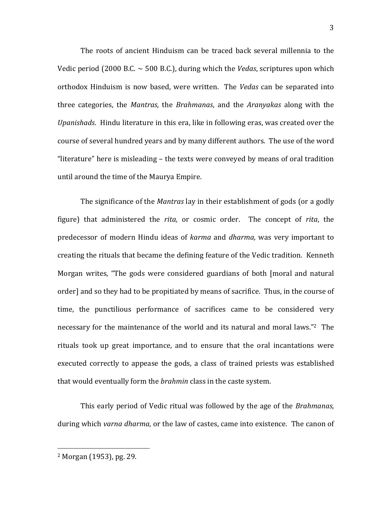The roots of ancient Hinduism can be traced back several millennia to the Vedic period  $(2000 \text{ B.C.} \sim 500 \text{ B.C.})$ , during which the *Vedas*, scriptures upon which orthodox Hinduism is now based, were written. The *Vedas* can be separated into three categories, the *Mantras*, the *Brahmanas*, and the *Aranyakas* along with the *Upanishads*. Hindu literature in this era, like in following eras, was created over the course of several hundred years and by many different authors. The use of the word "literature" here is misleading  $-$  the texts were conveyed by means of oral tradition until around the time of the Maurya Empire.

The significance of the *Mantras* lay in their establishment of gods (or a godly figure) that administered the *rita*, or cosmic order. The concept of *rita*, the predecessor of modern Hindu ideas of *karma* and *dharma*, was very important to creating the rituals that became the defining feature of the Vedic tradition. Kenneth Morgan writes, "The gods were considered guardians of both [moral and natural order] and so they had to be propitiated by means of sacrifice. Thus, in the course of time, the punctilious performance of sacrifices came to be considered very necessary for the maintenance of the world and its natural and moral laws."<sup>2</sup> The rituals took up great importance, and to ensure that the oral incantations were executed correctly to appease the gods, a class of trained priests was established that would eventually form the *brahmin* class in the caste system.

This early period of Vedic ritual was followed by the age of the *Brahmanas*, during which *varna dharma*, or the law of castes, came into existence. The canon of

 $2$  Morgan (1953), pg. 29.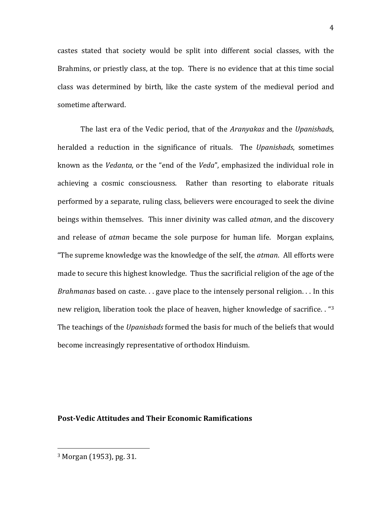castes stated that society would be split into different social classes, with the Brahmins, or priestly class, at the top. There is no evidence that at this time social class was determined by birth, like the caste system of the medieval period and sometime afterward.

The last era of the Vedic period, that of the *Aranyakas* and the *Upanishads*, heralded a reduction in the significance of rituals. The *Upanishads*, sometimes known as the *Vedanta*, or the "end of the *Veda"*, emphasized the individual role in achieving a cosmic consciousness. Rather than resorting to elaborate rituals performed by a separate, ruling class, believers were encouraged to seek the divine beings within themselves. This inner divinity was called *atman*, and the discovery and release of *atman* became the sole purpose for human life. Morgan explains, "The supreme knowledge was the knowledge of the self, the *atman*. All efforts were made to secure this highest knowledge. Thus the sacrificial religion of the age of the *Brahmanas* based on caste. . . gave place to the intensely personal religion. . . In this new religion, liberation took the place of heaven, higher knowledge of sacrifice.  $\cdot$  "3 The teachings of the *Upanishads* formed the basis for much of the beliefs that would become increasingly representative of orthodox Hinduism.

### **Post-Vedic Attitudes and Their Economic Ramifications**

 $3$  Morgan (1953), pg. 31.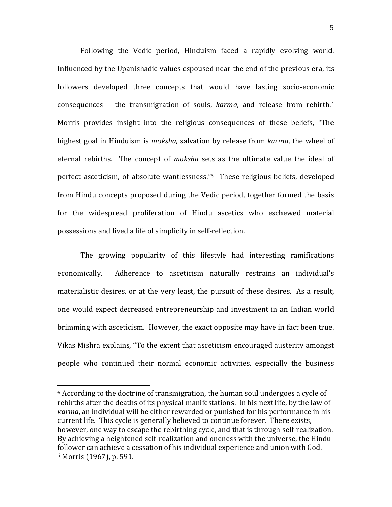Following the Vedic period, Hinduism faced a rapidly evolving world. Influenced by the Upanishadic values espoused near the end of the previous era, its followers developed three concepts that would have lasting socio-economic consequences – the transmigration of souls, *karma*, and release from rebirth.<sup>4</sup> Morris provides insight into the religious consequences of these beliefs, "The highest goal in Hinduism is *moksha*, salvation by release from *karma*, the wheel of eternal rebirths. The concept of *moksha* sets as the ultimate value the ideal of perfect asceticism, of absolute wantlessness."<sup>5</sup> These religious beliefs, developed from Hindu concepts proposed during the Vedic period, together formed the basis for the widespread proliferation of Hindu ascetics who eschewed material possessions and lived a life of simplicity in self-reflection.

The growing popularity of this lifestyle had interesting ramifications economically. Adherence to asceticism naturally restrains an individual's materialistic desires, or at the very least, the pursuit of these desires. As a result, one would expect decreased entrepreneurship and investment in an Indian world brimming with asceticism. However, the exact opposite may have in fact been true. Vikas Mishra explains, "To the extent that asceticism encouraged austerity amongst people who continued their normal economic activities, especially the business

 $4$  According to the doctrine of transmigration, the human soul undergoes a cycle of rebirths after the deaths of its physical manifestations. In his next life, by the law of *karma*, an individual will be either rewarded or punished for his performance in his current life. This cycle is generally believed to continue forever. There exists, however, one way to escape the rebirthing cycle, and that is through self-realization. By achieving a heightened self-realization and oneness with the universe, the Hindu follower can achieve a cessation of his individual experience and union with God.  $5$  Morris (1967), p. 591.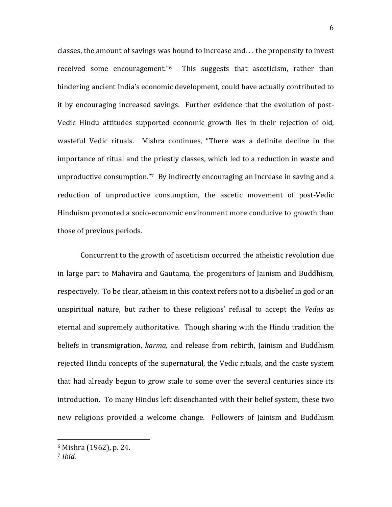classes, the amount of savings was bound to increase and. . . the propensity to invest received some encouragement." $6$  This suggests that asceticism, rather than hindering ancient India's economic development, could have actually contributed to it by encouraging increased savings. Further evidence that the evolution of post-Vedic Hindu attitudes supported economic growth lies in their rejection of old, wasteful Vedic rituals. Mishra continues, "There was a definite decline in the importance of ritual and the priestly classes, which led to a reduction in waste and unproductive consumption."<sup>7</sup> By indirectly encouraging an increase in saving and a reduction of unproductive consumption, the ascetic movement of post-Vedic Hinduism promoted a socio-economic environment more conducive to growth than those of previous periods.

Concurrent to the growth of asceticism occurred the atheistic revolution due in large part to Mahavira and Gautama, the progenitors of Jainism and Buddhism, respectively. To be clear, atheism in this context refers not to a disbelief in god or an unspiritual nature, but rather to these religions' refusal to accept the *Vedas* as eternal and supremely authoritative. Though sharing with the Hindu tradition the beliefs in transmigration, *karma*, and release from rebirth, Jainism and Buddhism rejected Hindu concepts of the supernatural, the Vedic rituals, and the caste system that had already begun to grow stale to some over the several centuries since its introduction. To many Hindus left disenchanted with their belief system, these two new religions provided a welcome change. Followers of Jainism and Buddhism

 $6$  Mishra (1962), p. 24.

<sup>7</sup> *Ibid.*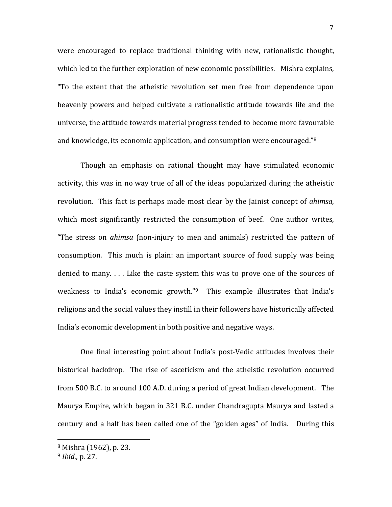were encouraged to replace traditional thinking with new, rationalistic thought, which led to the further exploration of new economic possibilities. Mishra explains, "To the extent that the atheistic revolution set men free from dependence upon heavenly powers and helped cultivate a rationalistic attitude towards life and the universe, the attitude towards material progress tended to become more favourable and knowledge, its economic application, and consumption were encouraged."<sup>8</sup>

Though an emphasis on rational thought may have stimulated economic activity, this was in no way true of all of the ideas popularized during the atheistic revolution. This fact is perhaps made most clear by the *lainist* concept of *ahimsa*, which most significantly restricted the consumption of beef. One author writes, "The stress on *ahimsa* (non-injury to men and animals) restricted the pattern of consumption. This much is plain: an important source of food supply was being denied to many.  $\ldots$  Like the caste system this was to prove one of the sources of weakness to India's economic growth."<sup>9</sup> This example illustrates that India's religions and the social values they instill in their followers have historically affected India's economic development in both positive and negative ways.

One final interesting point about India's post-Vedic attitudes involves their historical backdrop. The rise of asceticism and the atheistic revolution occurred from 500 B.C. to around 100 A.D. during a period of great Indian development. The Maurya Empire, which began in 321 B.C. under Chandragupta Maurya and lasted a century and a half has been called one of the "golden ages" of India. During this

 $8$  Mishra (1962), p. 23.

 $9$  *Ibid.*, p. 27.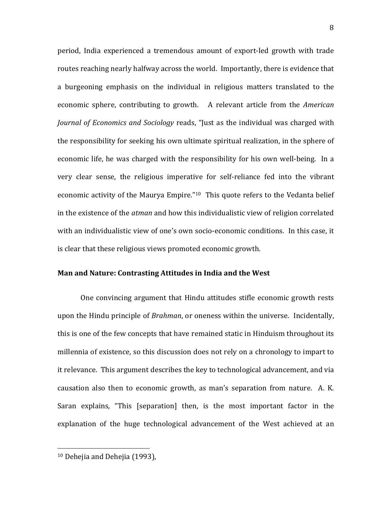period, India experienced a tremendous amount of export-led growth with trade routes reaching nearly halfway across the world. Importantly, there is evidence that a burgeoning emphasis on the individual in religious matters translated to the economic sphere, contributing to growth. A relevant article from the *American Journal of Economics and Sociology* reads, "Just as the individual was charged with the responsibility for seeking his own ultimate spiritual realization, in the sphere of economic life, he was charged with the responsibility for his own well-being. In a very clear sense, the religious imperative for self-reliance fed into the vibrant economic activity of the Maurya Empire."<sup>10</sup> This quote refers to the Vedanta belief in the existence of the *atman* and how this individualistic view of religion correlated with an individualistic view of one's own socio-economic conditions. In this case, it is clear that these religious views promoted economic growth.

### **Man and Nature: Contrasting Attitudes in India and the West**

One convincing argument that Hindu attitudes stifle economic growth rests upon the Hindu principle of *Brahman*, or oneness within the universe. Incidentally, this is one of the few concepts that have remained static in Hinduism throughout its millennia of existence, so this discussion does not rely on a chronology to impart to it relevance. This argument describes the key to technological advancement, and via causation also then to economic growth, as man's separation from nature. A. K. Saran explains, "This [separation] then, is the most important factor in the explanation of the huge technological advancement of the West achieved at an

  $10$  Dehejia and Dehejia (1993),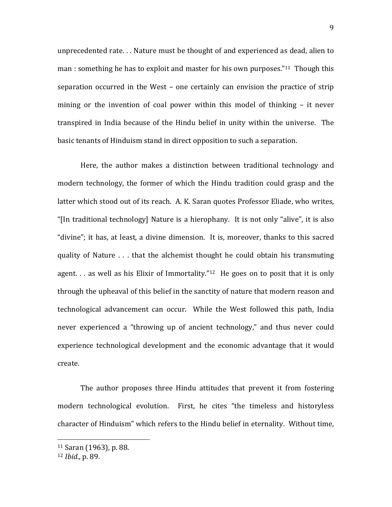unprecedented rate... Nature must be thought of and experienced as dead, alien to man : something he has to exploit and master for his own purposes."<sup>11</sup> Though this separation occurred in the West  $-$  one certainly can envision the practice of strip mining or the invention of coal power within this model of thinking  $-$  it never transpired in India because of the Hindu belief in unity within the universe. The basic tenants of Hinduism stand in direct opposition to such a separation.

Here, the author makes a distinction between traditional technology and modern technology, the former of which the Hindu tradition could grasp and the latter which stood out of its reach. A. K. Saran quotes Professor Eliade, who writes, "[In traditional technology] Nature is a hierophany. It is not only "alive", it is also "divine"; it has, at least, a divine dimension. It is, moreover, thanks to this sacred quality of Nature . . . that the alchemist thought he could obtain his transmuting agent. . . as well as his Elixir of Immortality."<sup>12</sup> He goes on to posit that it is only through the upheaval of this belief in the sanctity of nature that modern reason and technological advancement can occur. While the West followed this path, India never experienced a "throwing up of ancient technology," and thus never could experience technological development and the economic advantage that it would create. 

The author proposes three Hindu attitudes that prevent it from fostering modern technological evolution. First, he cites "the timeless and historyless character of Hinduism" which refers to the Hindu belief in eternality. Without time,

 $11$  Saran (1963), p. 88.

<sup>12</sup> *Ibid.*, p. 89.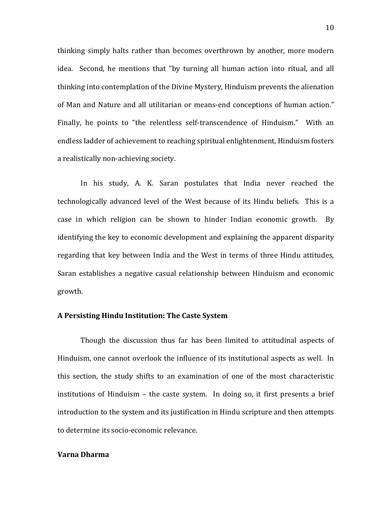thinking simply halts rather than becomes overthrown by another, more modern idea. Second, he mentions that "by turning all human action into ritual, and all thinking into contemplation of the Divine Mystery, Hinduism prevents the alienation of Man and Nature and all utilitarian or means-end conceptions of human action." Finally, he points to "the relentless self-transcendence of Hinduism." With an endless ladder of achievement to reaching spiritual enlightenment, Hinduism fosters a realistically non-achieving society.

In his study, A. K. Saran postulates that India never reached the technologically advanced level of the West because of its Hindu beliefs. This is a case in which religion can be shown to hinder Indian economic growth. By identifying the key to economic development and explaining the apparent disparity regarding that key between India and the West in terms of three Hindu attitudes, Saran establishes a negative casual relationship between Hinduism and economic growth.

#### **A Persisting Hindu Institution: The Caste System**

Though the discussion thus far has been limited to attitudinal aspects of Hinduism, one cannot overlook the influence of its institutional aspects as well. In this section, the study shifts to an examination of one of the most characteristic institutions of Hinduism  $-$  the caste system. In doing so, it first presents a brief introduction to the system and its justification in Hindu scripture and then attempts to determine its socio-economic relevance.

# **Varna Dharma**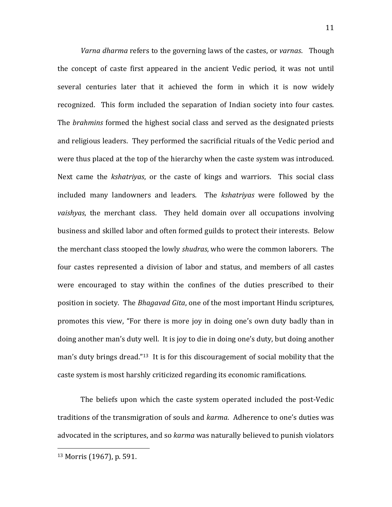*Varna dharma* refers to the governing laws of the castes, or *varnas*. Though the concept of caste first appeared in the ancient Vedic period, it was not until several centuries later that it achieved the form in which it is now widely recognized. This form included the separation of Indian society into four castes. The *brahmins* formed the highest social class and served as the designated priests and religious leaders. They performed the sacrificial rituals of the Vedic period and were thus placed at the top of the hierarchy when the caste system was introduced. Next came the *kshatrivas*, or the caste of kings and warriors. This social class included many landowners and leaders. The *kshatriyas* were followed by the *vaishyas*, the merchant class. They held domain over all occupations involving business and skilled labor and often formed guilds to protect their interests. Below the merchant class stooped the lowly *shudras*, who were the common laborers. The four castes represented a division of labor and status, and members of all castes were encouraged to stay within the confines of the duties prescribed to their position in society. The *Bhagavad Gita*, one of the most important Hindu scriptures, promotes this view, "For there is more joy in doing one's own duty badly than in doing another man's duty well. It is joy to die in doing one's duty, but doing another man's duty brings dread."<sup>13</sup> It is for this discouragement of social mobility that the caste system is most harshly criticized regarding its economic ramifications.

The beliefs upon which the caste system operated included the post-Vedic traditions of the transmigration of souls and *karma*. Adherence to one's duties was advocated in the scriptures, and so *karma* was naturally believed to punish violators

 $13$  Morris (1967), p. 591.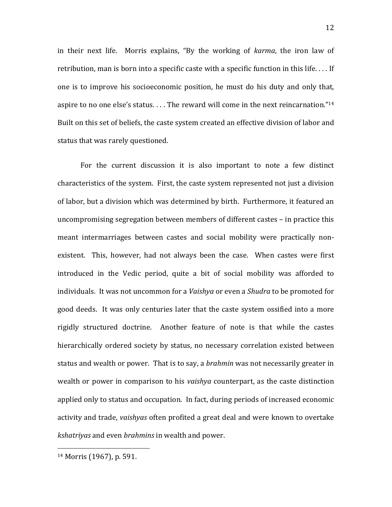in their next life. Morris explains, "By the working of *karma*, the iron law of retribution, man is born into a specific caste with a specific function in this life.  $\dots$  If one is to improve his socioeconomic position, he must do his duty and only that, aspire to no one else's status.... The reward will come in the next reincarnation."<sup>14</sup> Built on this set of beliefs, the caste system created an effective division of labor and status that was rarely questioned.

For the current discussion it is also important to note a few distinct characteristics of the system. First, the caste system represented not just a division of labor, but a division which was determined by birth. Furthermore, it featured an uncompromising segregation between members of different castes  $-$  in practice this meant intermarriages between castes and social mobility were practically nonexistent. This, however, had not always been the case. When castes were first introduced in the Vedic period, quite a bit of social mobility was afforded to individuals. It was not uncommon for a *Vaishya* or even a *Shudra* to be promoted for good deeds. It was only centuries later that the caste system ossified into a more rigidly structured doctrine. Another feature of note is that while the castes hierarchically ordered society by status, no necessary correlation existed between status and wealth or power. That is to say, a *brahmin* was not necessarily greater in wealth or power in comparison to his *vaishya* counterpart, as the caste distinction applied only to status and occupation. In fact, during periods of increased economic activity and trade, *vaishyas* often profited a great deal and were known to overtake *kshatriyas* and even *brahmins* in wealth and power.

 $14$  Morris (1967), p. 591.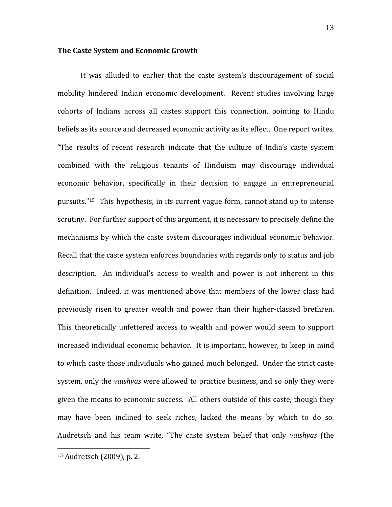### **The Caste System and Economic Growth**

It was alluded to earlier that the caste system's discouragement of social mobility hindered Indian economic development. Recent studies involving large cohorts of Indians across all castes support this connection, pointing to Hindu beliefs as its source and decreased economic activity as its effect. One report writes, "The results of recent research indicate that the culture of India's caste system combined with the religious tenants of Hinduism may discourage individual economic behavior, specifically in their decision to engage in entrepreneurial pursuits. $15$  This hypothesis, in its current vague form, cannot stand up to intense scrutiny. For further support of this argument, it is necessary to precisely define the mechanisms by which the caste system discourages individual economic behavior. Recall that the caste system enforces boundaries with regards only to status and job description. An individual's access to wealth and power is not inherent in this definition. Indeed, it was mentioned above that members of the lower class had previously risen to greater wealth and power than their higher-classed brethren. This theoretically unfettered access to wealth and power would seem to support increased individual economic behavior. It is important, however, to keep in mind to which caste those individuals who gained much belonged. Under the strict caste system, only the *vaishyas* were allowed to practice business, and so only they were given the means to economic success. All others outside of this caste, though they may have been inclined to seek riches, lacked the means by which to do so. Audretsch and his team write, "The caste system belief that only *vaishyas* (the

<sup>&</sup>lt;sup>15</sup> Audretsch (2009), p. 2.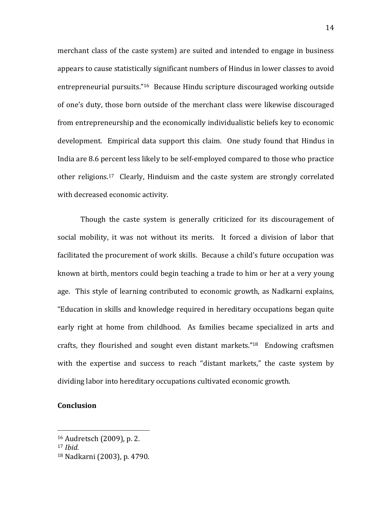merchant class of the caste system) are suited and intended to engage in business appears to cause statistically significant numbers of Hindus in lower classes to avoid entrepreneurial pursuits."<sup>16</sup> Because Hindu scripture discouraged working outside of one's duty, those born outside of the merchant class were likewise discouraged from entrepreneurship and the economically individualistic beliefs key to economic development. Empirical data support this claim. One study found that Hindus in India are 8.6 percent less likely to be self-employed compared to those who practice other religions.<sup>17</sup> Clearly, Hinduism and the caste system are strongly correlated with decreased economic activity.

Though the caste system is generally criticized for its discouragement of social mobility, it was not without its merits. It forced a division of labor that facilitated the procurement of work skills. Because a child's future occupation was known at birth, mentors could begin teaching a trade to him or her at a very young age. This style of learning contributed to economic growth, as Nadkarni explains, "Education in skills and knowledge required in hereditary occupations began quite early right at home from childhood. As families became specialized in arts and crafts, they flourished and sought even distant markets." $18$  Endowing craftsmen with the expertise and success to reach "distant markets," the caste system by dividing labor into hereditary occupations cultivated economic growth.

# **Conclusion**

 $16$  Audretsch (2009), p. 2.

<sup>17</sup> *Ibid.*

<sup>18</sup> Nadkarni (2003), p. 4790.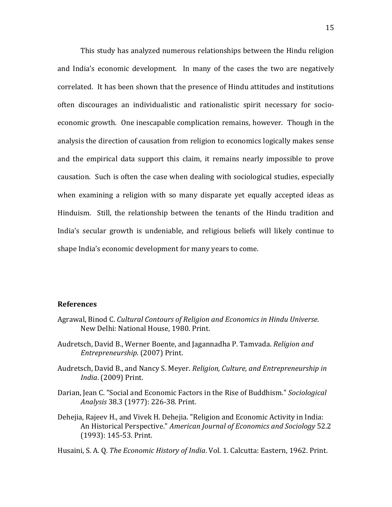This study has analyzed numerous relationships between the Hindu religion and India's economic development. In many of the cases the two are negatively correlated. It has been shown that the presence of Hindu attitudes and institutions often discourages an individualistic and rationalistic spirit necessary for socioeconomic growth. One inescapable complication remains, however. Though in the analysis the direction of causation from religion to economics logically makes sense and the empirical data support this claim, it remains nearly impossible to prove causation. Such is often the case when dealing with sociological studies, especially when examining a religion with so many disparate yet equally accepted ideas as Hinduism. Still, the relationship between the tenants of the Hindu tradition and India's secular growth is undeniable, and religious beliefs will likely continue to shape India's economic development for many years to come.

## **References**

- Agrawal, Binod C. Cultural Contours of Religion and Economics in Hindu Universe. New Delhi: National House, 1980. Print.
- Audretsch, David B., Werner Boente, and Jagannadha P. Tamvada. *Religion and Entrepreneurship.* (2007) Print.
- Audretsch, David B., and Nancy S. Meyer. *Religion, Culture, and Entrepreneurship in India.* (2009) Print.
- Darian, Jean C. "Social and Economic Factors in the Rise of Buddhism." *Sociological Analysis* 38.3 (1977): 226-38. Print.
- Dehejia, Rajeev H., and Vivek H. Dehejia. "Religion and Economic Activity in India: An Historical Perspective." *American Journal of Economics and Sociology* 52.2 (1993): 145-53. Print.

Husaini, S. A. Q. *The Economic History of India*. Vol. 1. Calcutta: Eastern, 1962. Print.